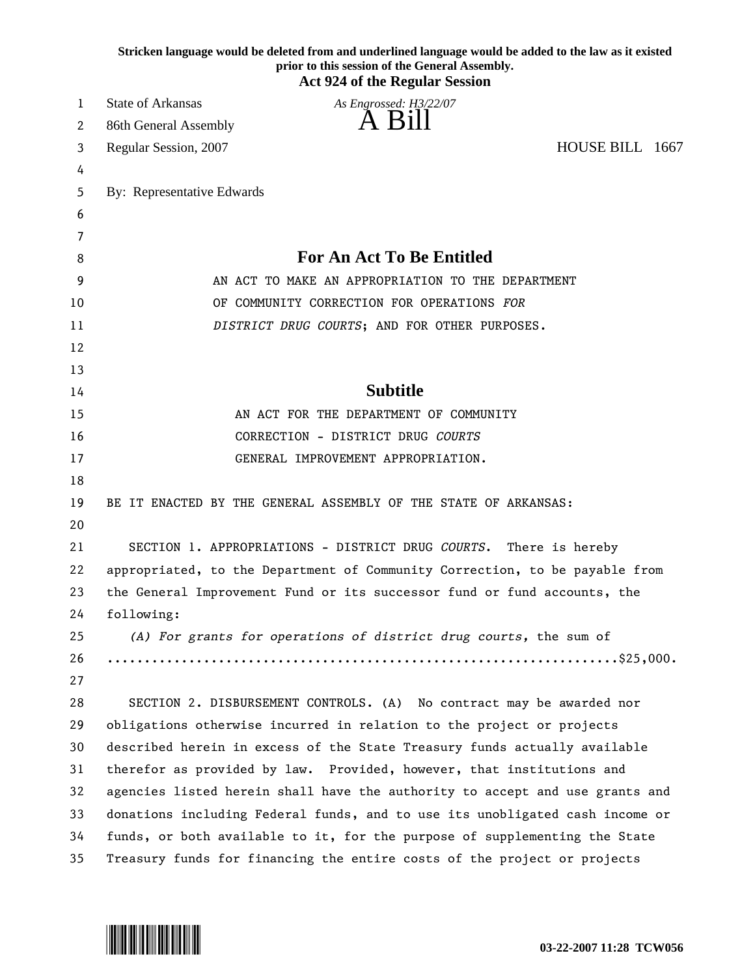|    | Stricken language would be deleted from and underlined language would be added to the law as it existed<br>prior to this session of the General Assembly.<br><b>Act 924 of the Regular Session</b> |
|----|----------------------------------------------------------------------------------------------------------------------------------------------------------------------------------------------------|
| 1  | <b>State of Arkansas</b><br>As Engrossed: H3/22/07                                                                                                                                                 |
| 2  | A Bill<br>86th General Assembly                                                                                                                                                                    |
| 3  | HOUSE BILL 1667<br>Regular Session, 2007                                                                                                                                                           |
| 4  |                                                                                                                                                                                                    |
| 5  | By: Representative Edwards                                                                                                                                                                         |
| 6  |                                                                                                                                                                                                    |
| 7  |                                                                                                                                                                                                    |
| 8  | <b>For An Act To Be Entitled</b>                                                                                                                                                                   |
| 9  | AN ACT TO MAKE AN APPROPRIATION TO THE DEPARTMENT                                                                                                                                                  |
| 10 | OF COMMUNITY CORRECTION FOR OPERATIONS FOR                                                                                                                                                         |
| 11 | DISTRICT DRUG COURTS; AND FOR OTHER PURPOSES.                                                                                                                                                      |
| 12 |                                                                                                                                                                                                    |
| 13 |                                                                                                                                                                                                    |
| 14 | <b>Subtitle</b>                                                                                                                                                                                    |
| 15 | AN ACT FOR THE DEPARTMENT OF COMMUNITY                                                                                                                                                             |
| 16 | CORRECTION - DISTRICT DRUG COURTS                                                                                                                                                                  |
| 17 | GENERAL IMPROVEMENT APPROPRIATION.                                                                                                                                                                 |
| 18 |                                                                                                                                                                                                    |
| 19 | BE IT ENACTED BY THE GENERAL ASSEMBLY OF THE STATE OF ARKANSAS:                                                                                                                                    |
| 20 |                                                                                                                                                                                                    |
| 21 | SECTION 1. APPROPRIATIONS - DISTRICT DRUG COURTS. There is hereby                                                                                                                                  |
| 22 | appropriated, to the Department of Community Correction, to be payable from                                                                                                                        |
| 23 | the General Improvement Fund or its successor fund or fund accounts, the                                                                                                                           |
| 24 | following:                                                                                                                                                                                         |
| 25 | (A) For grants for operations of district drug courts, the sum of                                                                                                                                  |
| 26 |                                                                                                                                                                                                    |
| 27 |                                                                                                                                                                                                    |
| 28 | SECTION 2. DISBURSEMENT CONTROLS. (A) No contract may be awarded nor                                                                                                                               |
| 29 | obligations otherwise incurred in relation to the project or projects                                                                                                                              |
| 30 | described herein in excess of the State Treasury funds actually available                                                                                                                          |
| 31 | therefor as provided by law. Provided, however, that institutions and                                                                                                                              |
| 32 | agencies listed herein shall have the authority to accept and use grants and                                                                                                                       |
| 33 | donations including Federal funds, and to use its unobligated cash income or                                                                                                                       |
| 34 | funds, or both available to it, for the purpose of supplementing the State                                                                                                                         |
| 35 | Treasury funds for financing the entire costs of the project or projects                                                                                                                           |